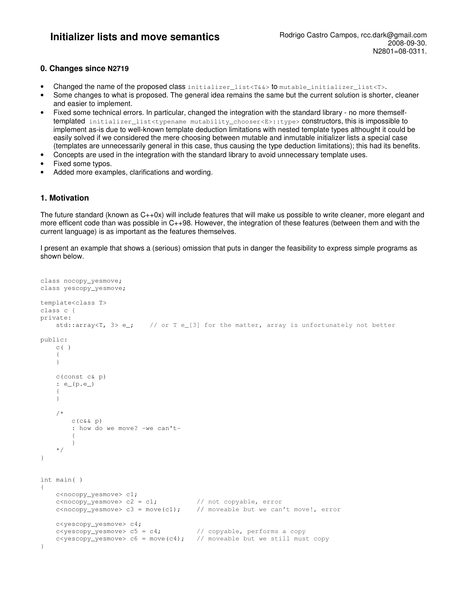# **0. Changes since N2719**

- Changed the name of the proposed class initializer\_list<T&&> to mutable\_initializer\_list<T>.
- Some changes to what is proposed. The general idea remains the same but the current solution is shorter, cleaner and easier to implement.
- Fixed some technical errors. In particular, changed the integration with the standard library no more themselftemplated initializer\_list<typename mutability\_chooser<E>::type> constructors, this is impossible to implement as-is due to well-known template deduction limitations with nested template types althought it could be easily solved if we considered the mere choosing between mutable and inmutable initializer lists a special case (templates are unnecessarily general in this case, thus causing the type deduction limitations); this had its benefits.
- Concepts are used in the integration with the standard library to avoid unnecessary template uses.
- Fixed some typos.
- Added more examples, clarifications and wording.

# **1. Motivation**

The future standard (known as  $C++0x$ ) will include features that will make us possible to write cleaner, more elegant and more efficent code than was possible in C++98. However, the integration of these features (between them and with the current language) is as important as the features themselves.

I present an example that shows a (serious) omission that puts in danger the feasibility to express simple programs as shown below.

```
class nocopy_yesmove; 
class yescopy_yesmove; 
template<class T> 
class c { 
private: 
   std::array<T, 3> e_i; // or T e_{i} [3] for the matter, array is unfortunately not better
public: 
   C() { 
     } 
     c(const c& p) 
     : e_(p.e_) 
     { 
     } 
     /* 
        C(C&c p)
         : how do we move? -we can't- 
\{ } 
     */ 
} 
int main( ) 
{ 
     c<nocopy_yesmove> c1; 
c<nocopy_yesmove> c2 = c1; // not copyable, error
 c<nocopy_yesmove> c3 = move(c1); // moveable but we can't move!, error
     c<yescopy_yesmove> c4; 
    c <y \text{ escopy\_yesmove} > c5 = c4; // copyable, performs a copy
    c<sub>yc</sub> c<yescopy_yesmove> c6 = move(c4); // moveable but we still must copy
}
```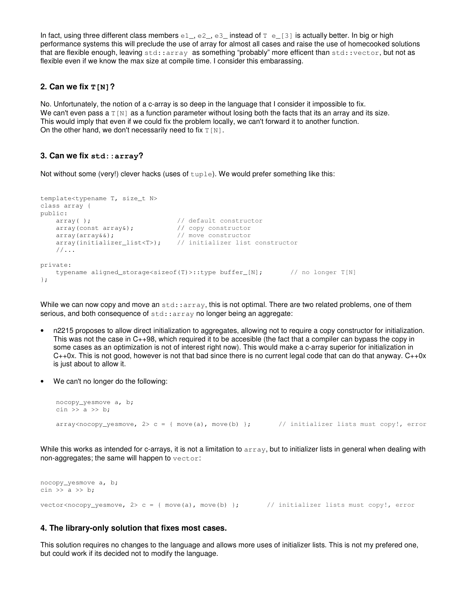In fact, using three different class members  $e1$ ,  $e2$ ,  $e3$  instead of  $T$   $e$  [3] is actually better. In big or high performance systems this will preclude the use of array for almost all cases and raise the use of homecooked solutions that are flexible enough, leaving std::array as something "probably" more efficent than std::vector, but not as flexible even if we know the max size at compile time. I consider this embarassing.

### **2. Can we fix T[N]?**

No. Unfortunately, the notion of a c-array is so deep in the language that I consider it impossible to fix. We can't even pass a  $T[N]$  as a function parameter without losing both the facts that its an array and its size. This would imply that even if we could fix the problem locally, we can't forward it to another function. On the other hand, we don't necessarily need to fix  $T[N]$ .

### **3. Can we fix std::array?**

Not without some (very!) clever hacks (uses of  $\text{tuple}$ ). We would prefer something like this:

```
template<typename T, size_t N> 
class array { 
public: 
   array( ); \sqrt{2} // default constructor
 array(const array&); // copy constructor
 array(array&&); // move constructor
   array(initializer_list<T>); // initializer list constructor
    //... 
private: 
   typename aligned_storage<sizeof(T)>::type buffer_[N]; // no longer T[N]
};
```
While we can now copy and move an  $stat:array$ , this is not optimal. There are two related problems, one of them serious, and both consequence of std::array no longer being an aggregate:

- n2215 proposes to allow direct initialization to aggregates, allowing not to require a copy constructor for initialization. This was not the case in C++98, which required it to be accesible (the fact that a compiler can bypass the copy in some cases as an optimization is not of interest right now). This would make a c-array superior for initialization in  $C++0x$ . This is not good, however is not that bad since there is no current legal code that can do that anyway.  $C++0x$ is just about to allow it.
- We can't no longer do the following:

```
 nocopy_yesmove a, b; 
\sin \gg a \gg b;array<sub>conv</sub> array<nocopy_yesmove, 2> c = { move(a), move(b) }; // initializer lists must copy!, error
```
While this works as intended for c-arrays, it is not a limitation to array, but to initializer lists in general when dealing with non-aggregates; the same will happen to vector:

nocopy\_yesmove a, b; cin  $\gg$  a  $\gg$  b: vector<nocopy\_yesmove,  $2$ > c = { move(a), move(b) }; // initializer lists must copy!, error

## **4. The library-only solution that fixes most cases.**

This solution requires no changes to the language and allows more uses of initializer lists. This is not my prefered one, but could work if its decided not to modify the language.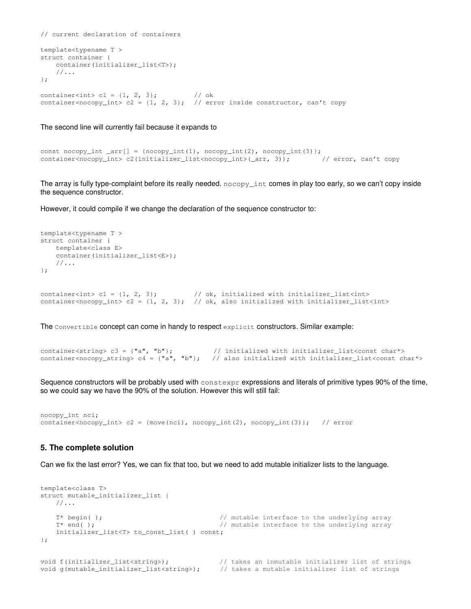```
// current declaration of containers 
template<typename T > 
struct container { 
    container(initializer_list<T>); 
     //... 
}; 
container<int> c1 = \{1, 2, 3\}; // ok
container<nocopy_int> c2 = {1, 2, 3}; // error inside constructor, can't copy
```
The second line will currently fail because it expands to

```
const nocopy_int _arr[] = {nocopy_int(1), nocopy_int(2), nocopy_int(3)};<br>container<nocopy_int> c2(initializer_list<nocopy_int>(_arr, 3)); // error, can't copy
container<nocopy_int> c2(initializer_list<nocopy_int>(_arr, 3));
```
The array is fully type-complaint before its really needed. nocopy\_int comes in play too early, so we can't copy inside the sequence constructor.

However, it could compile if we change the declaration of the sequence constructor to:

```
template<typename T > 
struct container { 
    template<class E> 
    container(initializer_list<E>);
    1/\ldots}; 
container<int> c1 = \{1, 2, 3\}; // ok, initialized with initializer_list<int>
container<nocopy_int> c2 = \{1, 2, 3\}; // ok, also initialized with initializer_list<int>
```
The Convertible concept can come in handy to respect explicit constructors. Similar example:

container<string> c3 = {"a", "b"};  $\qquad$  // initialized with initializer\_list<const char\*> container<nocopy\_string>  $c4 = \{ "a", "b" \}$ ; // also initialized with initializer\_list<const char\*>

Sequence constructors will be probably used with constexpr expressions and literals of primitive types 90% of the time, so we could say we have the 90% of the solution. However this will still fail:

```
nocopy_int nci; 
container<nocopy_int> c2 = {move(nci), nocopy_int(2), nocopy_int(3)}; // error
```
#### **5. The complete solution**

Can we fix the last error? Yes, we can fix that too, but we need to add mutable initializer lists to the language.

```
template<class T> 
struct mutable_initializer_list { 
    //... 
   T* begin( ); \sqrt{ } // mutable interface to the underlying array
   T* end( ); \gamma // mutable interface to the underlying array
   initializer_list<T> to const_list( ) const;
}; 
void f(initializer_list<string>); \frac{1}{1 + \lambda} takes an inmutable initializer list of strings
void g(mutable_initializer_list<string>); // takes a mutable initializer list of strings
```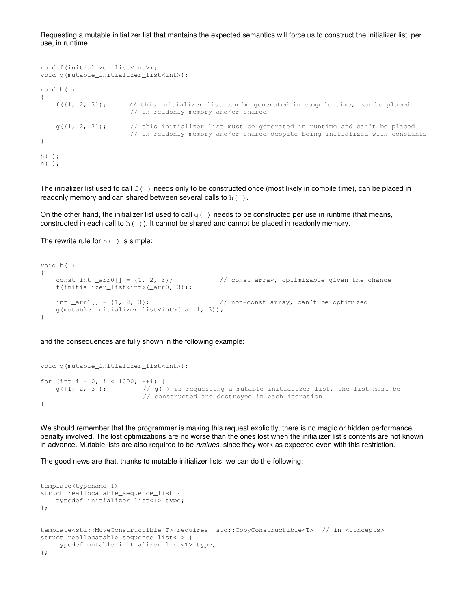Requesting a mutable initializer list that mantains the expected semantics will force us to construct the initializer list, per use, in runtime:

```
void f(initializer_list<int>);
void g(mutable_initializer_list<int>);
void h( ) 
{ 
    f({1, 2, 3}); // this initializer list can be generated in compile time, can be placed
                       // in readonly memory and/or shared 
    g({1, 2, 3}); // this initializer list must be generated in runtime and can't be placed
                        // in readonly memory and/or shared despite being initialized with constants 
} 
h( ); 
h( );
```
The initializer list used to call  $f(\cdot)$  needs only to be constructed once (most likely in compile time), can be placed in readonly memory and can shared between several calls to  $h( )$ .

On the other hand, the initializer list used to call  $q(\cdot)$  needs to be constructed per use in runtime (that means, constructed in each call to  $h( )$ ). It cannot be shared and cannot be placed in readonly memory.

The rewrite rule for  $h($  ) is simple:

```
void h( ) 
{ 
   const int arr0[] = \{1, 2, 3\}; // const array, optimizable given the chance
    f(initializer_list<int>(_arr0, 3));
   int arr1[] = \{1, 2, 3\}; // non-const array, can't be optimized
    g(mutable_initializer_list<int>(_arr1, 3));
}
```
and the consequences are fully shown in the following example:

```
void g(mutable_initializer_list<int>);
for (int i = 0; i < 1000; ++i) {
   g({1, 2, 3}); // g() is requesting a mutable initializer list, the list must be
                         // constructed and destroyed in each iteration 
}
```
We should remember that the programmer is making this request explicitly, there is no magic or hidden performance penalty involved. The lost optimizations are no worse than the ones lost when the initializer list's contents are not known in advance. Mutable lists are also required to be *rvalues*, since they work as expected even with this restriction.

The good news are that, thanks to mutable initializer lists, we can do the following:

```
template<typename T> 
struct reallocatable_sequence_list { 
     typedef initializer_list<T> type; 
}; 
template<std::MoveConstructible T> requires !std::CopyConstructible<T> // in <concepts> 
struct reallocatable_sequence_list<T> { 
     typedef mutable_initializer_list<T> type; 
};
```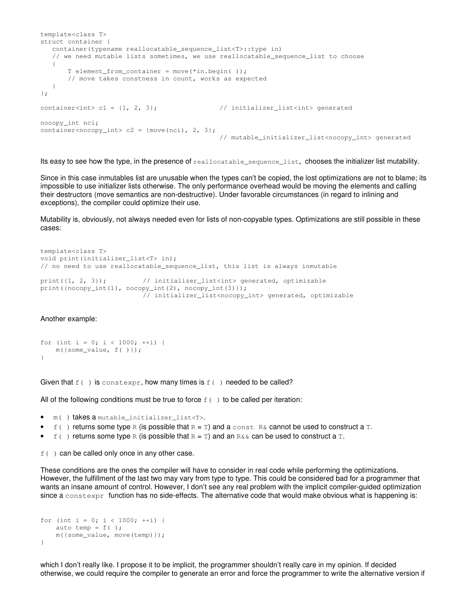```
template<class T> 
struct container { 
    container(typename reallocatable_sequence_list<T>::type in) 
   // we need mutable lists sometimes, we use reallocatable sequence list to choose
    { 
        T element_from_container = move(*in.begin( )); 
        // move takes constness in count, works as expected 
    } 
}; 
container<int> c1 = \{1, 2, 3\}; // initializer_list<int> generated
nocopy_int nci; 
container<nocopy_int> c2 = \{move(nci), 2, 3\};// mutable_initializer_list<nocopy_int> generated
```
Its easy to see how the type, in the presence of reallocatable\_sequence\_list, chooses the initializer list mutability.

Since in this case inmutables list are unusable when the types can't be copied, the lost optimizations are not to blame; its impossible to use initializer lists otherwise. The only performance overhead would be moving the elements and calling their destructors (move semantics are non-destructive). Under favorable circumstances (in regard to inlining and exceptions), the compiler could optimize their use.

Mutability is, obviously, not always needed even for lists of non-copyable types. Optimizations are still possible in these cases:

```
template<class T> 
void print(initializer_list<T> in); 
// no need to use reallocatable_sequence_list, this list is always inmutable 
print({1, 2, 3}); // initializer_list<int> generated, optimizable
print({nocopy_int(1), nocopy_int(2), nocopy_int(3)}); 
                         // initializer_list<nocopy_int> generated, optimizable
```
Another example:

```
for (int i = 0; i < 1000; ++i) {
    m({some_value, f( )}); 
}
```
Given that  $f(\cdot)$  is constexpr, how many times is  $f(\cdot)$  needed to be called?

All of the following conditions must be true to force  $f(\cdot)$  to be called per iteration:

- m( ) takes a mutable\_initializer\_list<T>.
- $f(\cdot)$  returns some type R (is possible that  $R = T$ ) and a const R& cannot be used to construct a T.
- $f(\cdot)$  returns some type R (is possible that  $R = T$ ) and an  $R \& \infty$  can be used to construct a T.

 $f(\cdot)$  can be called only once in any other case.

These conditions are the ones the compiler will have to consider in real code while performing the optimizations. However, the fulfillment of the last two may vary from type to type. This could be considered bad for a programmer that wants an insane amount of control. However, I don't see any real problem with the implicit compiler-guided optimization since a constexpr function has no side-effects. The alternative code that would make obvious what is happening is:

```
for (int i = 0; i < 1000; ++i) {
    auto temp = f();
    m({some_value, move(temp)}); 
}
```
which I don't really like. I propose it to be implicit, the programmer shouldn't really care in my opinion. If decided otherwise, we could require the compiler to generate an error and force the programmer to write the alternative version if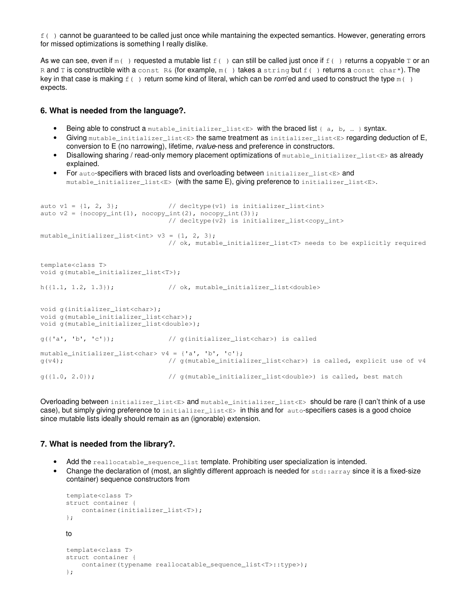$f( )$  cannot be guaranteed to be called just once while mantaining the expected semantics. However, generating errors for missed optimizations is something I really dislike.

As we can see, even if  $m( )$  requested a mutable list  $f( )$  can still be called just once if  $f( )$  returns a copyable T or an R and T is constructible with a const R& (for example,  $m($ ) takes a string but  $f( )$  returns a const char\*). The key in that case is making  $f(\cdot)$  return some kind of literal, which can be rom'ed and used to construct the type  $m(\cdot)$ expects.

#### **6. What is needed from the language?.**

- Being able to construct a mutable\_initializer\_list<E> with the braced list {  $a, b, ...$  } syntax.
- Giving mutable initializer list<E> the same treatment as initializer list<E> regarding deduction of E, conversion to E (no narrowing), lifetime, rvalue-ness and preference in constructors.
- Disallowing sharing / read-only memory placement optimizations of mutable\_initializer\_list<E> as already explained.
- For auto-specifiers with braced lists and overloading between initializer\_list<E> and mutable\_initializer\_list<E> (with the same E), giving preference to initializer\_list<E>.

```
auto v1 = \{1, 2, 3\}; // decltype(v1) is initializer_list<int>
auto v2 = \{nocopy\_int(1), nocopy\_int(2), nocopy\_int(3);
                               // decltype(v2) is initializer_list<copy_int> 
mutable_initializer_list<int> v3 = \{1, 2, 3\};
                               // ok, mutable_initializer_list<T> needs to be explicitly required 
template<class T> 
void g(mutable_initializer_list<T>); 
h(\{1.1, 1.2, 1.3\}); // ok, mutable_initializer_list<double>
void g(initializer_list<char>); 
void g(mutable_initializer_list<char>); 
void g(mutable_initializer_list<double>); 
g({'a', 'b', 'c'}); // g(initializer_list<char>) is called 
mutable initializer list<char> v4 = {'a', 'b', 'c'};
g(v4); // g(mutable_initializer_list<char>) is called, explicit use of v4 
g({1.0, 2.0})); // g(mutable_initializer_list<double>) is called, best match
```
Overloading between initializer\_list<E> and mutable\_initializer\_list<E> should be rare (I can't think of a use case), but simply giving preference to initializer\_list<E> in this and for auto-specifiers cases is a good choice since mutable lists ideally should remain as an (ignorable) extension.

#### **7. What is needed from the library?.**

- Add the reallocatable\_sequence\_list template. Prohibiting user specialization is intended.
- Change the declaration of (most, an slightly different approach is needed for  $std:array$  since it is a fixed-size container) sequence constructors from

```
template<class T> 
struct container { 
     container(initializer_list<T>); 
}; 
to 
template<class T> 
struct container { 
    container(typename reallocatable sequence list<T>::type>);
};
```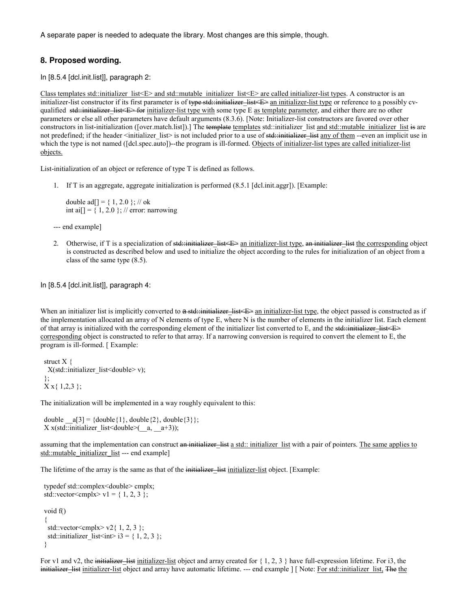A separate paper is needed to adequate the library. Most changes are this simple, though.

# **8. Proposed wording.**

In [8.5.4 [dcl.init.list]], paragraph 2:

Class templates std::initializer  $list \le E$  and std::mutable initializer  $list \le E$  are called initializer-list types. A constructor is an initializer-list constructor if its first parameter is of type std: initializer list  $\epsilon \gg$  an initializer-list type or reference to a possibly cvqualified std::initializer\_list<E> for initializer-list type with some type E as template parameter, and either there are no other parameters or else all other parameters have default arguments (8.3.6). [Note: Initializer-list constructors are favored over other constructors in list-initialization ([over.match.list]).] The template templates std::initializer\_list and std::mutable\_initializer\_list is are not predefined; if the header <initializer list> is not included prior to a use of std::initializer list any of them --even an implicit use in which the type is not named ([dcl.spec.auto])--the program is ill-formed. Objects of initializer-list types are called initializer-list objects.

List-initialization of an object or reference of type T is defined as follows.

1. If T is an aggregate, aggregate initialization is performed (8.5.1 [dcl.init.aggr]). [Example:

double ad $[$ ] = { 1, 2.0 }; // ok int ai[] =  $\{ 1, 2.0 \}$ ; // error: narrowing

--- end example]

2. Otherwise, if T is a specialization of std::initializer-list  $\epsilon \to \epsilon$  an initializer-list type, an initializer-list the corresponding object is constructed as described below and used to initialize the object according to the rules for initialization of an object from a class of the same type (8.5).

In [8.5.4 [dcl.init.list]], paragraph 4:

When an initializer list is implicitly converted to  $a$ -std::initializer-list  $\leq$  an initializer-list type, the object passed is constructed as if the implementation allocated an array of N elements of type E, where N is the number of elements in the initializer list. Each element of that array is initialized with the corresponding element of the initializer list converted to E, and the std::initializer list  $\leq$ corresponding object is constructed to refer to that array. If a narrowing conversion is required to convert the element to E, the program is ill-formed. [ Example:

struct  $X \{$  $X(std::initializer$  list<double> v); };  $X \times \{ 1, 2, 3 \};$ 

The initialization will be implemented in a way roughly equivalent to this:

double  $a[3] = \{double\{1\}, double\{2\}, double\{3\}\};$ X x(std::initializer\_list<double> $($ a,  $a+3)$ );

assuming that the implementation can construct an initializer list a std:: initializer list with a pair of pointers. The same applies to std::mutable\_initializer\_list --- end example]

The lifetime of the array is the same as that of the initializer-list initializer-list object. [Example:

```
 typedef std::complex<double> cmplx; 
std::vector<cmplx> v1 = { 1, 2, 3 };
  void f() 
 { 
  std::vector<cmplx> v2{ 1, 2, 3 };
  std::initializer_list<int>i3 = \{ 1, 2, 3 \}; }
```
For v1 and v2, the initializer-list initializer-list object and array created for  $\{1, 2, 3\}$  have full-expression lifetime. For i3, the initializer-list initializer-list object and array have automatic lifetime. --- end example  $| \cdot |$  Note: For std::initializer\_list, The the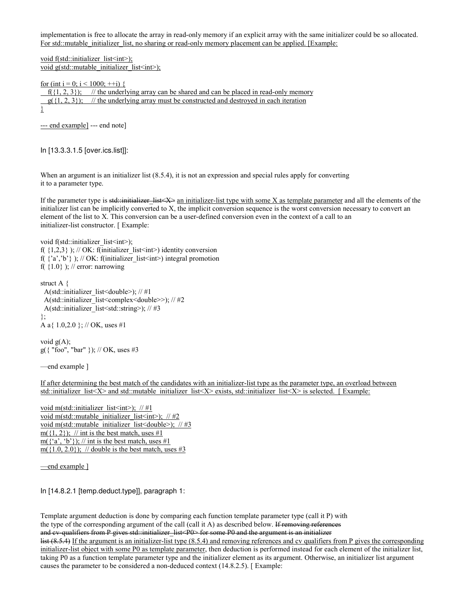implementation is free to allocate the array in read-only memory if an explicit array with the same initializer could be so allocated. For std::mutable\_initializer\_list, no sharing or read-only memory placement can be applied. [Example:

void f(std::initializer\_list<int>); void g(std::mutable\_initializer\_list<int>);

for (int i = 0; i < 1000; ++i) {

 $f(1, 2, 3)$ ; // the underlying array can be shared and can be placed in read-only memory  $g({1, 2, 3})$ ; // the underlying array must be constructed and destroyed in each iteration

}

--- end example] --- end note]

In [13.3.3.1.5 [over.ics.list]]:

When an argument is an initializer list (8.5.4), it is not an expression and special rules apply for converting it to a parameter type.

If the parameter type is std::initializer list  $\langle X \rangle$  an initializer-list type with some X as template parameter and all the elements of the initializer list can be implicitly converted to X, the implicit conversion sequence is the worst conversion necessary to convert an element of the list to X. This conversion can be a user-defined conversion even in the context of a call to an initializer-list constructor. [ Example:

void f(std::initializer\_list<int>); f( $\{1,2,3\}$ ); // OK: f(initializer\_list<int>) identity conversion f( $\{a', b'\}$ ); // OK: f(initializer\_list<int>) integral promotion f( $\{1.0\}$ ); // error: narrowing

struct A { A(std::initializer\_list<double>); // #1 A(std::initializer\_list<complex<double>>); // #2 A(std::initializer\_list<std::string>); // #3 }; A a{ 1.0,2.0 }; // OK, uses #1

void  $g(A)$ ; g({ "foo", "bar" }); // OK, uses #3

—end example ]

If after determining the best match of the candidates with an initializer-list type as the parameter type, an overload between std::initializer list<X> and std::mutable initializer list<X> exists, std::initializer list<X> is selected. [ Example:

void m(std::initializer\_list<int>);  $// #1$ void m(std::mutable\_initializer\_list<int>); // #2 void m(std::mutable\_initializer\_list<double>); // #3 m( $\{1, 2\}$ ); // int is the best match, uses #1  $m({a', b'})$ ; // int is the best match, uses #1 m( $\{1.0, 2.0\}$ ); // double is the best match, uses #3

—end example ]

In [14.8.2.1 [temp.deduct.type]], paragraph 1:

Template argument deduction is done by comparing each function template parameter type (call it P) with the type of the corresponding argument of the call (call it A) as described below. If removing references and cv-qualifiers from P gives std::initializer\_list<P0> for some P0 and the argument is an initializer list (8.5.4) If the argument is an initializer-list type (8.5.4) and removing references and cv qualifiers from P gives the corresponding initializer-list object with some P0 as template parameter, then deduction is performed instead for each element of the initializer list,

taking P0 as a function template parameter type and the initializer element as its argument. Otherwise, an initializer list argument causes the parameter to be considered a non-deduced context (14.8.2.5). [ Example: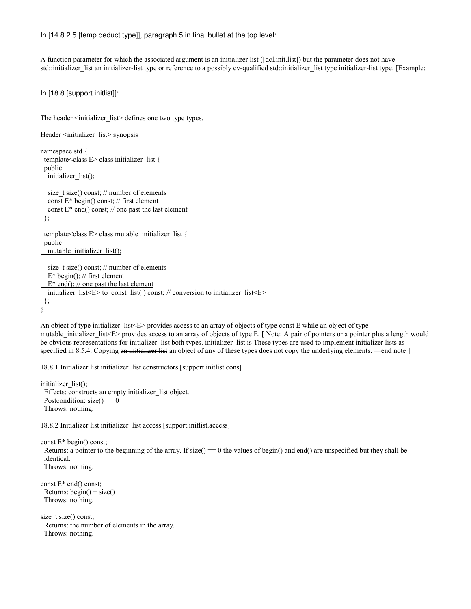In [14.8.2.5 [temp.deduct.type]], paragraph 5 in final bullet at the top level:

A function parameter for which the associated argument is an initializer list ([dcl.init.list]) but the parameter does not have std::initializer\_list an initializer-list type or reference to a possibly cv-qualified std::initializer\_list type initializer-list type. [Example:

In [18.8 [support.initlist]]:

The header <initializer\_list> defines one two type types.

```
Header <initializer_list> synopsis
namespace std { 
  template<class E> class initializer_list { 
  public: 
   initializer_list(); 
  size t size() const; // number of elements
   const E* begin() const; // first element 
  const E^* end() const; // one past the last element
  }; 
template<class E> class mutable initializer list {
 public:
  mutable initializer list();
  size t size() const; // number of elements
  E^* begin(); // first element
  E^* end(); // one past the last element
 initializer_list<E> to_const_list( ) const; // conversion to initializer_list<E>
 };
}
```
An object of type initializer list<E> provides access to an array of objects of type const E while an object of type mutable\_initializer\_list<E> provides access to an array of objects of type E. [ Note: A pair of pointers or a pointer plus a length would be obvious representations for initializer list both types. initializer list is These types are used to implement initializer lists as specified in 8.5.4. Copying an initializer list an object of any of these types does not copy the underlying elements. —end note ]

18.8.1 Initializer list initializer\_list constructors [support.initlist.cons]

initializer\_list(); Effects: constructs an empty initializer\_list object. Postcondition:  $size() == 0$ Throws: nothing.

18.8.2 Initializer list initializer list access [support.initlist.access]

const E\* begin() const; Returns: a pointer to the beginning of the array. If size() =  $= 0$  the values of begin() and end() are unspecified but they shall be identical. Throws: nothing.

const E\* end() const; Returns:  $begin( ) + size( )$ Throws: nothing.

size t size() const; Returns: the number of elements in the array. Throws: nothing.